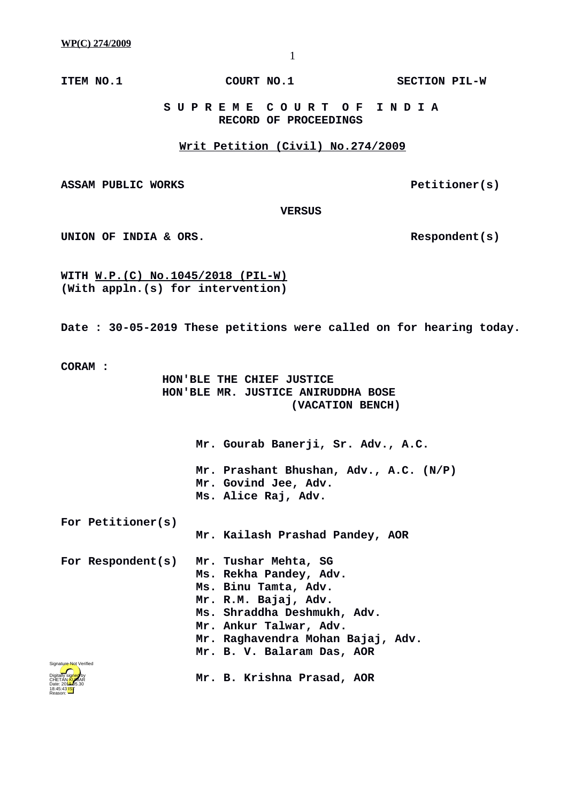**ITEM NO.1 COURT NO.1 SECTION PIL-W**

 **S U P R E M E C O U R T O F I N D I A RECORD OF PROCEEDINGS**

## **Writ Petition (Civil) No.274/2009**

ASSAM PUBLIC WORKS **PELITIONER** PELITIONER(S)

 **VERSUS**

UNION OF INDIA & ORS.

**WITH W.P.(C) No.1045/2018 (PIL-W) (With appln.(s) for intervention)**

**Date : 30-05-2019 These petitions were called on for hearing today.**

**CORAM :** 

 **HON'BLE THE CHIEF JUSTICE HON'BLE MR. JUSTICE ANIRUDDHA BOSE (VACATION BENCH)**

> **Mr. Gourab Banerji, Sr. Adv., A.C. Mr. Prashant Bhushan, Adv., A.C. (N/P) Mr. Govind Jee, Adv. Ms. Alice Raj, Adv.**

**For Petitioner(s)**

 **Mr. Kailash Prashad Pandey, AOR**

 **Mr. B. Krishna Prasad, AOR**

**For Respondent(s) Mr. Tushar Mehta, SG Ms. Rekha Pandey, Adv. Ms. Binu Tamta, Adv. Mr. R.M. Bajaj, Adv. Ms. Shraddha Deshmukh, Adv. Mr. Ankur Talwar, Adv. Mr. Raghavendra Mohan Bajaj, Adv. Mr. B. V. Balaram Das, AOR**

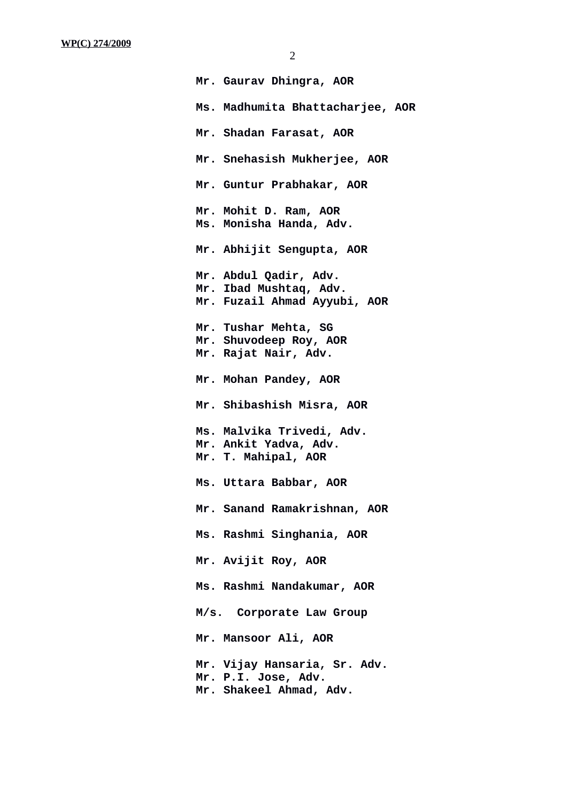| Mr. Gaurav Dhingra, AOR                                                         |
|---------------------------------------------------------------------------------|
| Ms. Madhumita Bhattacharjee, AOR                                                |
| Mr. Shadan Farasat, AOR                                                         |
| Mr. Snehasish Mukherjee, AOR                                                    |
| Mr. Guntur Prabhakar, AOR                                                       |
| Mr. Mohit D. Ram, AOR<br>Ms. Monisha Handa, Adv.                                |
| Mr. Abhijit Sengupta, AOR                                                       |
| Mr. Abdul Qadir, Adv.<br>Mr. Ibad Mushtaq, Adv.<br>Mr. Fuzail Ahmad Ayyubi, AOR |
| Mr. Tushar Mehta, SG<br>Mr. Shuvodeep Roy, AOR<br>Mr. Rajat Nair, Adv.          |
| Mr. Mohan Pandey, AOR                                                           |
| Mr. Shibashish Misra, AOR                                                       |
| Ms. Malvika Trivedi, Adv.<br>Mr. Ankit Yadva, Adv.<br>Mr. T. Mahipal, AOR       |
| Ms. Uttara Babbar, AOR                                                          |
| Mr. Sanand Ramakrishnan, AOR                                                    |
| Ms. Rashmi Singhania, AOR                                                       |
| Mr. Avijit Roy, AOR                                                             |
| Ms. Rashmi Nandakumar, AOR                                                      |
| M/s. Corporate Law Group                                                        |
| Mr. Mansoor Ali, AOR                                                            |
| Mr. Vijay Hansaria, Sr. Adv.<br>Mr. P.I. Jose, Adv.<br>Mr. Shakeel Ahmad, Adv.  |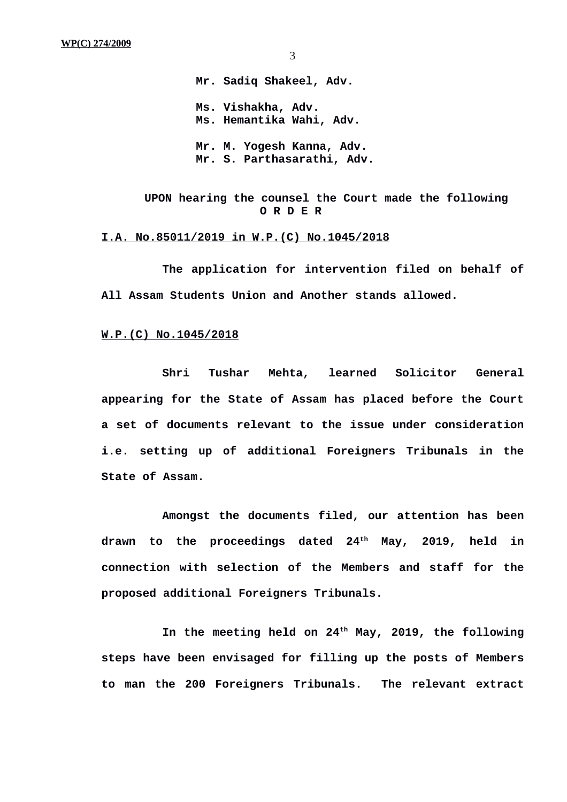3

**Mr. Sadiq Shakeel, Adv. Ms. Vishakha, Adv. Ms. Hemantika Wahi, Adv. Mr. M. Yogesh Kanna, Adv. Mr. S. Parthasarathi, Adv.**

**UPON hearing the counsel the Court made the following O R D E R**

## **I.A. No.85011/2019 in W.P.(C) No.1045/2018**

**The application for intervention filed on behalf of All Assam Students Union and Another stands allowed.**

## **W.P.(C) No.1045/2018**

**Shri Tushar Mehta, learned Solicitor General appearing for the State of Assam has placed before the Court a set of documents relevant to the issue under consideration i.e. setting up of additional Foreigners Tribunals in the State of Assam.**

**Amongst the documents filed, our attention has been drawn to the proceedings dated 24th May, 2019, held in connection with selection of the Members and staff for the proposed additional Foreigners Tribunals.** 

**In the meeting held on 24th May, 2019, the following steps have been envisaged for filling up the posts of Members to man the 200 Foreigners Tribunals. The relevant extract**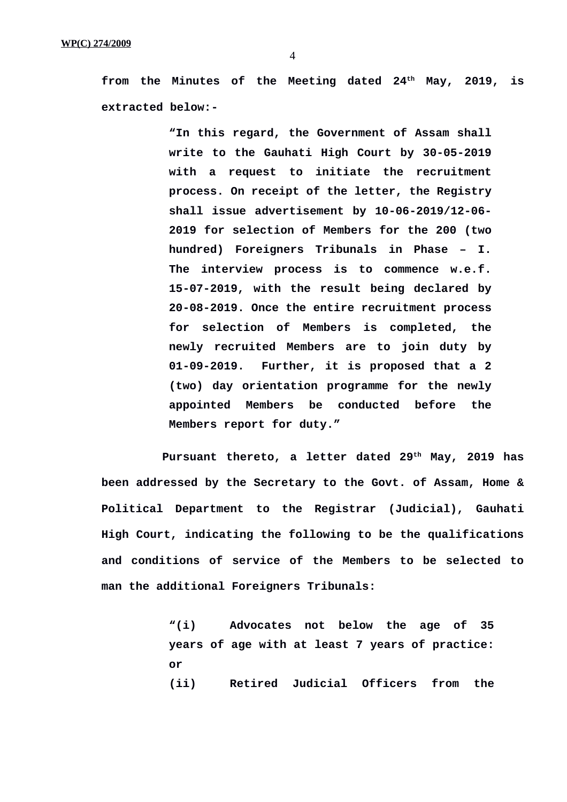**from the Minutes of the Meeting dated 24th May, 2019, is extracted below:-**

> **"In this regard, the Government of Assam shall write to the Gauhati High Court by 30-05-2019 with a request to initiate the recruitment process. On receipt of the letter, the Registry shall issue advertisement by 10-06-2019/12-06- 2019 for selection of Members for the 200 (two hundred) Foreigners Tribunals in Phase – I. The interview process is to commence w.e.f. 15-07-2019, with the result being declared by 20-08-2019. Once the entire recruitment process for selection of Members is completed, the newly recruited Members are to join duty by 01-09-2019. Further, it is proposed that a 2 (two) day orientation programme for the newly appointed Members be conducted before the Members report for duty."**

**Pursuant thereto, a letter dated 29th May, 2019 has been addressed by the Secretary to the Govt. of Assam, Home & Political Department to the Registrar (Judicial), Gauhati High Court, indicating the following to be the qualifications and conditions of service of the Members to be selected to man the additional Foreigners Tribunals:**

> **"(i) Advocates not below the age of 35 years of age with at least 7 years of practice: or (ii) Retired Judicial Officers from the**

4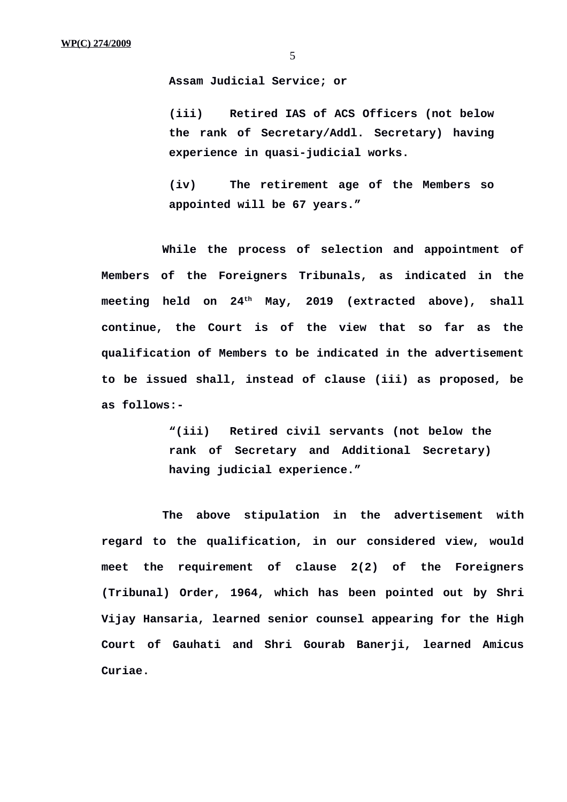5

**Assam Judicial Service; or**

**(iii) Retired IAS of ACS Officers (not below the rank of Secretary/Addl. Secretary) having experience in quasi-judicial works.**

**(iv) The retirement age of the Members so appointed will be 67 years."**

**While the process of selection and appointment of Members of the Foreigners Tribunals, as indicated in the meeting held on 24th May, 2019 (extracted above), shall continue, the Court is of the view that so far as the qualification of Members to be indicated in the advertisement to be issued shall, instead of clause (iii) as proposed, be as follows:-**

> **"(iii) Retired civil servants (not below the rank of Secretary and Additional Secretary) having judicial experience."**

**The above stipulation in the advertisement with regard to the qualification, in our considered view, would meet the requirement of clause 2(2) of the Foreigners (Tribunal) Order, 1964, which has been pointed out by Shri Vijay Hansaria, learned senior counsel appearing for the High Court of Gauhati and Shri Gourab Banerji, learned Amicus Curiae.**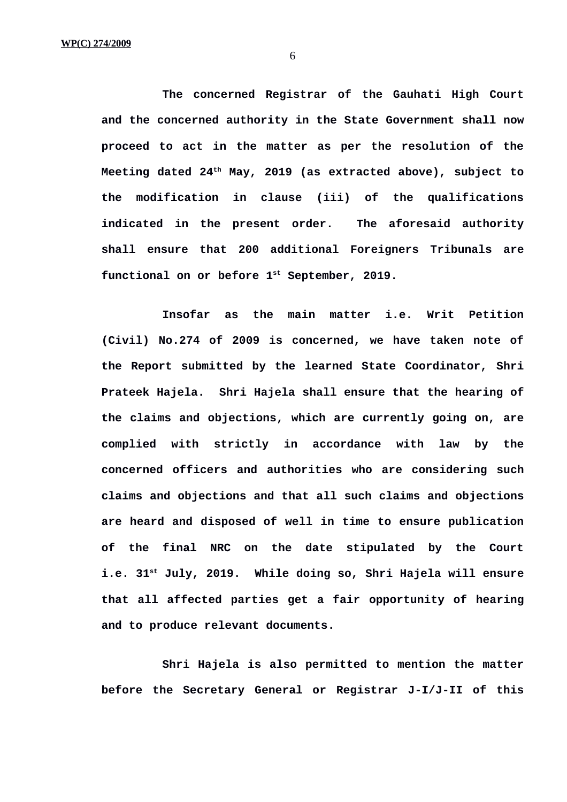**The concerned Registrar of the Gauhati High Court and the concerned authority in the State Government shall now proceed to act in the matter as per the resolution of the Meeting dated 24th May, 2019 (as extracted above), subject to the modification in clause (iii) of the qualifications indicated in the present order. The aforesaid authority shall ensure that 200 additional Foreigners Tribunals are functional on or before 1st September, 2019.**

**Insofar as the main matter i.e. Writ Petition (Civil) No.274 of 2009 is concerned, we have taken note of the Report submitted by the learned State Coordinator, Shri Prateek Hajela. Shri Hajela shall ensure that the hearing of the claims and objections, which are currently going on, are complied with strictly in accordance with law by the concerned officers and authorities who are considering such claims and objections and that all such claims and objections are heard and disposed of well in time to ensure publication of the final NRC on the date stipulated by the Court i.e. 31st July, 2019. While doing so, Shri Hajela will ensure that all affected parties get a fair opportunity of hearing and to produce relevant documents.** 

**Shri Hajela is also permitted to mention the matter before the Secretary General or Registrar J-I/J-II of this**

6